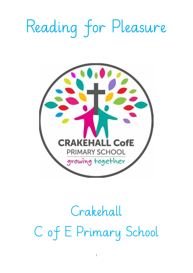# Reading for Pleasure



## Crakehall C of E Primary School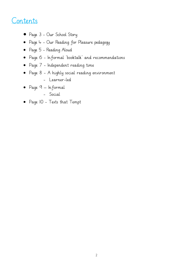### Contents

- Page 3 Our School Story
- Page 4 Our Reading for Pleasure pedagogy
- Page 5 Reading Aloud
- Page 6 Informal 'booktalk' and recommendations
- Page 7 Independent reading time
- Page 8 A highly social reading environment
	- Learner-led
- Page 9 Informal
	- Social
- Page 10 Texts that Tempt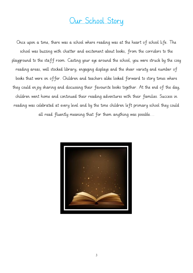## Our School Story

Once upon a time, there was a school where reading was at the heart of school life. The school was buzzing with chatter and excitement about books, from the corridors to the playground to the staff room. Casting your eye around the school, you were struck by the cosy reading areas, well stocked library, engaging displays and the sheer variety and number of books that were on offer. Children and teachers alike looked forward to story times where they could enjoy sharing and discussing their favourite books together. At the end of the day, children went home and continued their reading adventures with their families. Success in reading was celebrated at every level and by the time children left primary school they could all read fluently meaning that for them anything was possible…

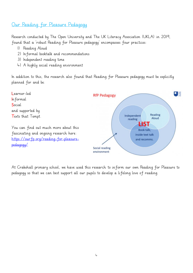#### Our Reading for Pleasure Pedagogy

Research conducted by The Open University and The UK Literacy Association (UKLA) in 2019, found that a 'robust Reading for Pleasure pedagogy' encompasses four practices:

- 1) Reading Aloud
- 2) Informal booktalk and recommendations
- 3) Independent reading time
- 4) A highly social reading environment

In addition to this, the research also found that Reading for Pleasure pedagogy must be explicitly planned for and be:



At Crakehall primary school, we have used this research to inform our own Reading for Pleasure to pedagogy so that we can best support all our pupils to develop a lifelong love of reading.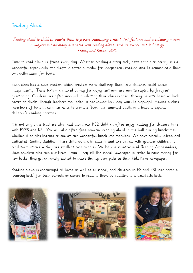#### Reading Aloud

Reading aloud to children enables them to process challenging content, text features and vocabulary – even in subjects not normally associated with reading aloud, such as science and technology Heisley and Kukan, 2010

Time to read aloud is found every day. Whether reading a story book, news article or poetry, it's a wonderful opportunity for staff to offer a model for independent reading and to demonstrate their own enthusiasm for books.

Each class has a class reader, which provides more challenge than texts children could access independently. These texts are shared purely for enjoyment and are uninterrupted by frequent questioning. Children are often involved in selecting their class reader, through a vote based on book covers or blurbs, though teachers may select a particular text they want to highlight. Having a class repertoire of texts in common helps to promote 'book talk' amongst pupils and helps to expand children's reading horizons.

It is not only class teachers who read aloud our KS2 children often enjoy reading for pleasure time with EYFS and KS1. You will also often find someone reading aloud in the hall during lunchtimes whether it be Mrs Marino or one of our wonderful lunchtime monitors. We have recently introduced dedicated Reading Buddies. These children are in class 4 and are paired with younger children to read them stories – they are excellent book buddies! We have also introduced Reading Ambassadors, these children also run our Press Team. They sell the school Newspaper in order to raise money for new books, they get extremely excited to share the top book picks in their Kidz News newspaper.

Reading aloud is encouraged at home as well as at school, and children in FS and KS1 take home a 'sharing book' for their parents or carers to read to them in addition to a decodable book.





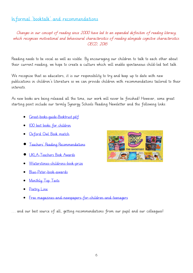#### Informal 'booktalk' and recommendations

Changes in our concept of reading since 2000 have led to an expanded definition of reading literacy, which recognises motivational and behavioural characteristics of reading alongside cognitive characteristics. OECD, 2016

Reading needs to be vocal as well as visible. By encouraging our children to talk to each other about their current reading, we hope to create a culture which will enable spontaneous child-led text talk.

We recognise that as educators, it is our responsibility to try and keep up to date with new publications in children's literature so we can provide children with recommendations tailored to their interests.

As new books are being released all the time, our work will never be finished! However, some great starting point include our termly Synergy Schools Reading Newsletter and the following links:

- [Great-books-guide-Booktrust.pdf](https://www.stmichaelsprimary.durham.sch.uk/wp-content/uploads/sites/127/2020/11/Booktrust-great-books-guide-2020.pdf)
- [100 best books for children](https://www.booktrust.org.uk/books-and-reading/our-recommendations/100-best-books/)
- [Oxford Owl Book match](https://global.oup.com/education/content/primary/series/oxford-owl/oxford-bookmatch/?region=uk)
- [Teachers' Reading Recommendations](https://teachersreadingchallenge.org.uk/)
- [UKLA-Teachers Book Awards](https://ukla.org/news/shortlists-announced-for-the-unique-awards-from-teachers2/)
- [Waterstones-childrens-book-prize](https://www.waterstones.com/the-waterstones-childrens-book-prize)
- [Blue-Peter-book-awards](https://www.booktrust.org.uk/what-we-do/awards-and-prizes/current-prizes/blue-peter-book-awards/)
- [Monthly Top Texts](https://researchrichpedagogies.org/research/author-spotlight)
- [Poetry Line](https://clpe.org.uk/poetryline/clippa)
- [Free magazines-and-newspapers-for-children-and-teenagers](https://schoolreadinglist.co.uk/resources/magazines-and-newspapers-for-children-and-teenagers/)

… and our best source of all, getting recommendations from our pupil and our colleagues!

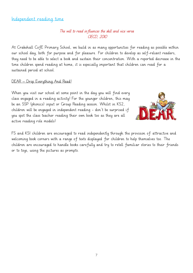#### Independent reading time

#### The will to read influences the skill and vice versa OECD, 2010

At Crakehall CofE Primary School, we build in as many opportunities for reading as possible within our school day, both for purpose and for pleasure. For children to develop as self-reliant readers, they need to be able to select a book and sustain their concentration. With a reported decrease in the time children spend reading at home, it is especially important that children can read for a sustained period at school.

#### DEAR – Drop Everything And Read!

When you visit our school at some point in the day you will find every class engaged in a reading activity! For the younger children, this may be an SSP (phonics) input or Group Reading session. Whilst in KS2, children will be engaged in independent reading - don't be surprised if you spot the class teacher reading their own book too as they are all active reading role models!



FS and KS1 children are encouraged to read independently through the provision of attractive and welcoming book corners with a range of texts displayed for children to help themselves too. The children are encouraged to handle books carefully and try to retell familiar stories to their friends or to toys, using the pictures as prompts.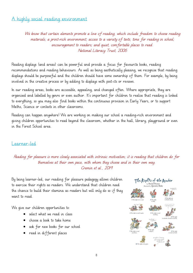#### A highly social reading environment

We know that certain elements promote a love of reading, which include freedom to choose reading materials; a print-rich environment; access to a variety of texts; time for reading in school; encouragement to readers; and quiet, comfortable places to read. National Literacy Trust, 2006

Reading displays (and areas) can be powerful and provide a focus for favourite books, reading recommendations and reading behaviours. As well as being aesthetically pleasing, we recognise that reading displays should be purposeful and the children should have some ownership of them. For example, by being involved in the creative process or by adding to displays with post-its or reviews.

In our reading areas, books are accessible, appealing, and changed often. Where appropriate, they are organised and labelled by genre or even author. It's important for children to realise that reading is linked to everything, so you may also find books within the continuous provision in Early Years, or to support Maths, Science or contexts in other classrooms.

Reading can happen anywhere! We are working on making our school a reading-rich environment and giving children opportunities to read beyond the classroom, whether in the hall, library, playground or even in the Forest School area.

#### Learner-led

Reading for pleasure is more closely associated with intrinsic motivation; it is reading that children do for themselves at their own pace, with whom they choose and in their own way. Cremin et al., 2019

By being learner-led, our reading for pleasure pedagogy allows children to exercise their rights as readers. We understand that children need the chance to build their stamina as readers but will only do so if they want to read.

We give our children opportunities to:

- select what we read in class
- choose a book to take home
- ask for new books for our school
- read in different places

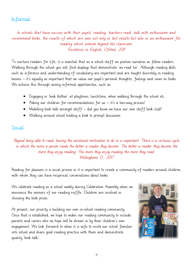#### Informal

In schools that have success with their pupils' reading, teachers read, talk with enthusiasm and recommend books, the results of which are seen not only in test results but also in an enthusiasm for reading which extends beyond the classroom. Excellence in English, Ofsted, 2011

To nurture readers for life, it is essential that as a school staff we position ourselves as fellow readers. Walking through the school you will find displays that demonstrate 'we read too'. Although reading skills such as inference and understanding of vocabulary are important and are taught discretely in reading lessons – it's equally as important that we value our pupil's personal thoughts, feelings and views on books. We achieve this through seizing informal opportunities, such as:

- Engaging in 'book blether' at playtimes, lunchtime, when walking through the school etc.
- Asking our children for recommendations for us it's a two-way process!
- Modelling book talk amongst staff did you know we have our own staff book club?
- Walking around school holding a book to prompt discussion

#### **Social**

Beyond being able to read, having the emotional motivation to do so is important. There is a virtuous cycle in which the more a person reads the better a reader they become. The better a reader they become the more they enjoy reading. The more they enjoy reading the more they read. Willingham, D., 2017

Reading for pleasure is a social process so it is important to create a community of readers around children with whom they can have reciprocal conversations about books.

We celebrate reading as a school weekly during Celebration Assembly when we announce the winners of our reading raffle. Children are involved in choosing the book prizes.

At present, our priority is building our own in-school reading community. Once that is established, we hope to widen our reading community to include parents and carers who we hope will be drawn in by their children's own engagement. We look forward to when it is safe to invite our school families into school and share good reading practice with them and demonstrate quality 'book talk'.